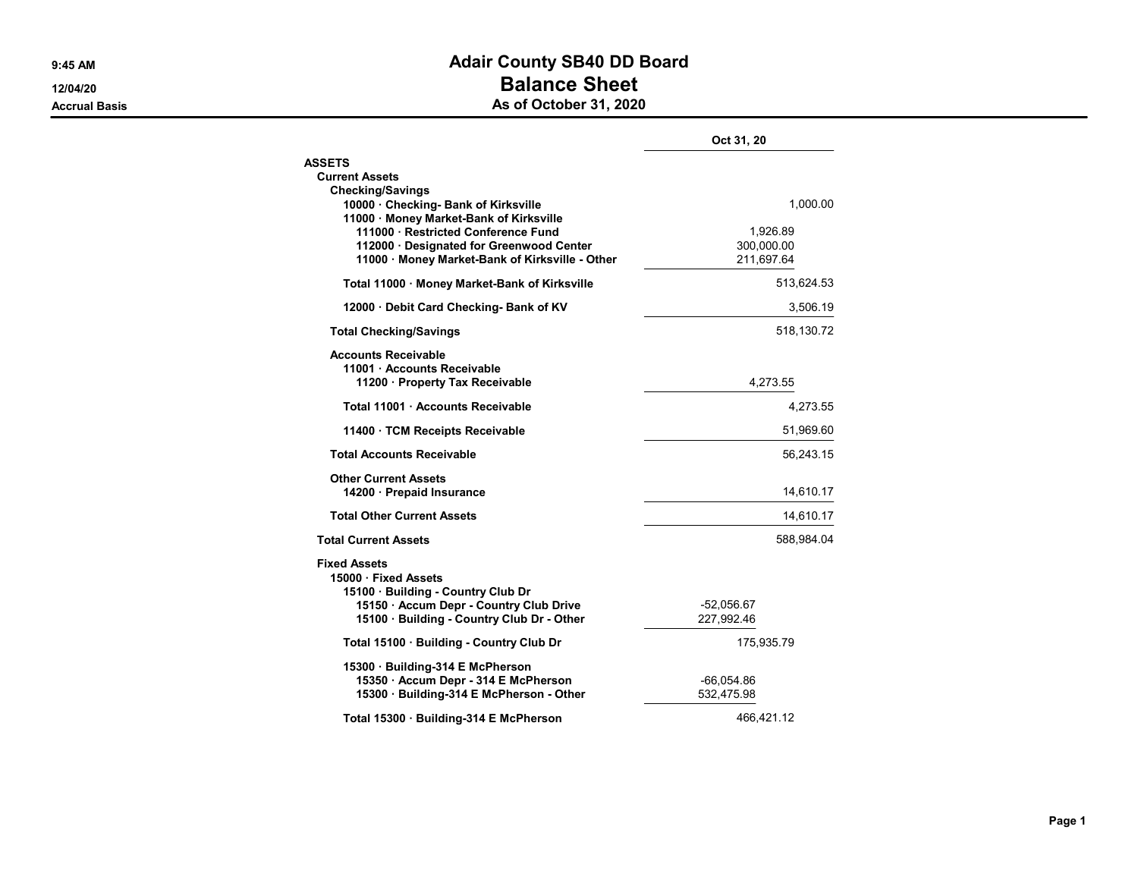## 9:45 AM **Adair County SB40 DD Board** 12/04/20 **Balance Sheet** Accrual Basis **Accrual Basis** As of October 31, 2020

|                                                                                                                                  | Oct 31, 20                           |
|----------------------------------------------------------------------------------------------------------------------------------|--------------------------------------|
| <b>ASSETS</b>                                                                                                                    |                                      |
| <b>Current Assets</b>                                                                                                            |                                      |
| <b>Checking/Savings</b><br>10000 · Checking- Bank of Kirksville<br>11000 Money Market-Bank of Kirksville                         | 1,000.00                             |
| 111000 · Restricted Conference Fund<br>112000 Designated for Greenwood Center<br>11000 · Money Market-Bank of Kirksville - Other | 1.926.89<br>300,000.00<br>211,697.64 |
| Total 11000 · Money Market-Bank of Kirksville                                                                                    | 513,624.53                           |
| 12000 Debit Card Checking- Bank of KV                                                                                            | 3,506.19                             |
| <b>Total Checking/Savings</b>                                                                                                    | 518,130.72                           |
| <b>Accounts Receivable</b><br>11001 Accounts Receivable<br>11200 · Property Tax Receivable                                       | 4,273.55                             |
| Total 11001 Accounts Receivable                                                                                                  | 4,273.55                             |
| 11400 · TCM Receipts Receivable                                                                                                  | 51,969.60                            |
| <b>Total Accounts Receivable</b>                                                                                                 | 56,243.15                            |
| <b>Other Current Assets</b><br>14200 · Prepaid Insurance                                                                         | 14,610.17                            |
| <b>Total Other Current Assets</b>                                                                                                | 14,610.17                            |
| <b>Total Current Assets</b>                                                                                                      | 588,984.04                           |
| <b>Fixed Assets</b><br>15000 · Fixed Assets<br>15100 · Building - Country Club Dr                                                |                                      |
| 15150 · Accum Depr - Country Club Drive                                                                                          | $-52,056.67$                         |
| 15100 Building - Country Club Dr - Other                                                                                         | 227,992.46                           |
| Total 15100 · Building - Country Club Dr                                                                                         | 175,935.79                           |
| 15300 Building-314 E McPherson                                                                                                   |                                      |
| 15350 · Accum Depr - 314 E McPherson                                                                                             | $-66,054.86$                         |
| 15300 · Building-314 E McPherson - Other                                                                                         | 532,475.98                           |
| Total 15300 Building-314 E McPherson                                                                                             | 466,421.12                           |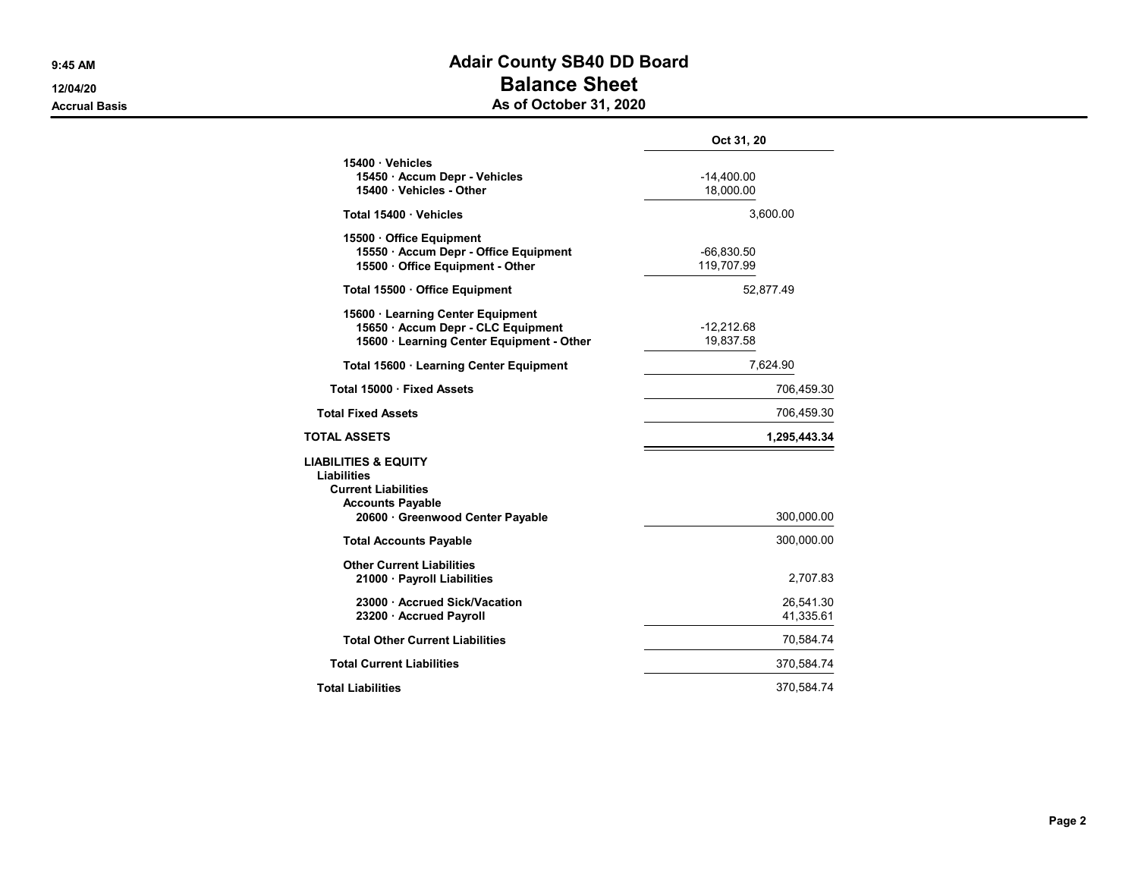## 9:45 AM **Adair County SB40 DD Board** 12/04/20 **Balance Sheet** Accrual Basis **Accrual Basis** Accrual Basis **As of October 31, 2020**

|                                                                                                                                           | Oct 31, 20                 |
|-------------------------------------------------------------------------------------------------------------------------------------------|----------------------------|
| 15400 Vehicles<br>15450 · Accum Depr - Vehicles<br>15400 · Vehicles - Other                                                               | $-14,400.00$<br>18,000.00  |
| Total 15400 Vehicles                                                                                                                      | 3,600.00                   |
| 15500 Office Equipment<br>15550 · Accum Depr - Office Equipment<br>15500 Office Equipment - Other                                         | $-66,830.50$<br>119,707.99 |
| Total 15500 · Office Equipment                                                                                                            | 52,877.49                  |
| 15600 Learning Center Equipment<br>15650 Accum Depr - CLC Equipment<br>15600 · Learning Center Equipment - Other                          | $-12.212.68$<br>19,837.58  |
| Total 15600 · Learning Center Equipment                                                                                                   | 7,624.90                   |
| Total 15000 · Fixed Assets                                                                                                                | 706,459.30                 |
| <b>Total Fixed Assets</b>                                                                                                                 | 706,459.30                 |
| <b>TOTAL ASSETS</b>                                                                                                                       | 1,295,443.34               |
| <b>LIABILITIES &amp; EQUITY</b><br>Liabilities<br><b>Current Liabilities</b><br><b>Accounts Payable</b><br>20600 Greenwood Center Payable | 300,000.00                 |
| <b>Total Accounts Payable</b>                                                                                                             | 300,000.00                 |
| <b>Other Current Liabilities</b><br>21000 · Payroll Liabilities                                                                           | 2,707.83                   |
| 23000 · Accrued Sick/Vacation<br>23200 Accrued Payroll                                                                                    | 26,541.30<br>41,335.61     |
| <b>Total Other Current Liabilities</b>                                                                                                    | 70,584.74                  |
| <b>Total Current Liabilities</b>                                                                                                          | 370,584.74                 |
| <b>Total Liabilities</b>                                                                                                                  | 370,584.74                 |